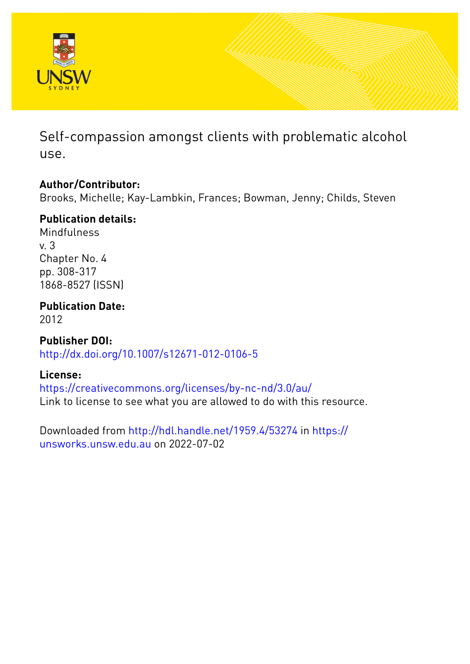

Self-compassion amongst clients with problematic alcohol use.

# **Author/Contributor:**

Brooks, Michelle; Kay-Lambkin, Frances; Bowman, Jenny; Childs, Steven

# **Publication details:**

**Mindfulness** v. 3 Chapter No. 4 pp. 308-317 1868-8527 (ISSN)

# **Publication Date:**

2012

**Publisher DOI:** [http://dx.doi.org/10.1007/s12671-012-0106-5](http://dx.doi.org/http://dx.doi.org/10.1007/s12671-012-0106-5)

## **License:**

<https://creativecommons.org/licenses/by-nc-nd/3.0/au/> Link to license to see what you are allowed to do with this resource.

Downloaded from <http://hdl.handle.net/1959.4/53274> in [https://](https://unsworks.unsw.edu.au) [unsworks.unsw.edu.au](https://unsworks.unsw.edu.au) on 2022-07-02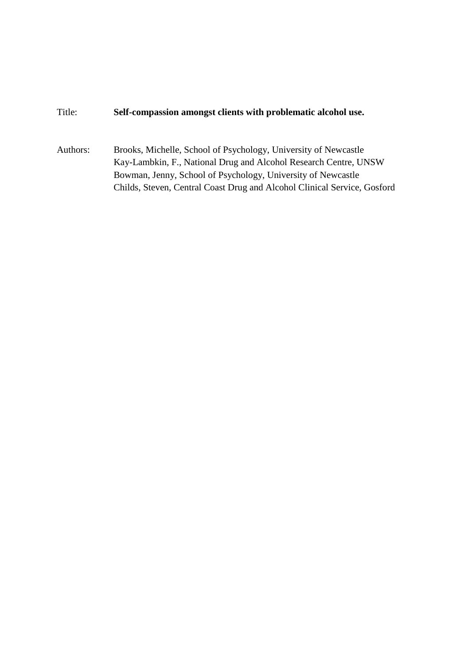### Title: **Self-compassion amongst clients with problematic alcohol use.**

Authors: Brooks, Michelle, School of Psychology, University of Newcastle Kay-Lambkin, F., National Drug and Alcohol Research Centre, UNSW Bowman, Jenny, School of Psychology, University of Newcastle Childs, Steven, Central Coast Drug and Alcohol Clinical Service, Gosford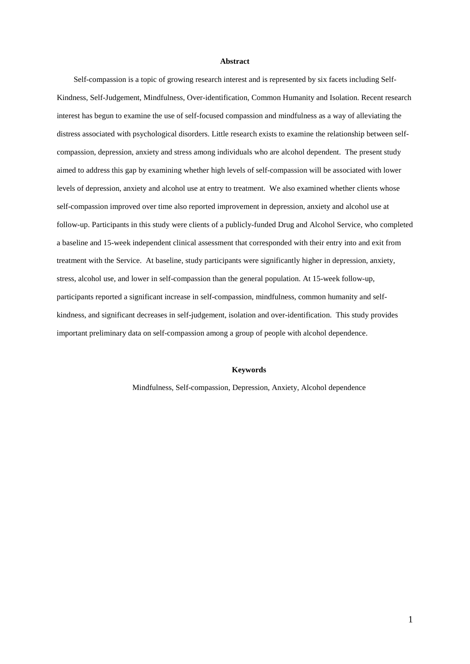#### **Abstract**

Self-compassion is a topic of growing research interest and is represented by six facets including Self-Kindness, Self-Judgement, Mindfulness, Over-identification, Common Humanity and Isolation. Recent research interest has begun to examine the use of self-focused compassion and mindfulness as a way of alleviating the distress associated with psychological disorders. Little research exists to examine the relationship between selfcompassion, depression, anxiety and stress among individuals who are alcohol dependent. The present study aimed to address this gap by examining whether high levels of self-compassion will be associated with lower levels of depression, anxiety and alcohol use at entry to treatment. We also examined whether clients whose self-compassion improved over time also reported improvement in depression, anxiety and alcohol use at follow-up. Participants in this study were clients of a publicly-funded Drug and Alcohol Service, who completed a baseline and 15-week independent clinical assessment that corresponded with their entry into and exit from treatment with the Service. At baseline, study participants were significantly higher in depression, anxiety, stress, alcohol use, and lower in self-compassion than the general population. At 15-week follow-up, participants reported a significant increase in self-compassion, mindfulness, common humanity and selfkindness, and significant decreases in self-judgement, isolation and over-identification. This study provides important preliminary data on self-compassion among a group of people with alcohol dependence.

#### **Keywords**

Mindfulness, Self-compassion, Depression, Anxiety, Alcohol dependence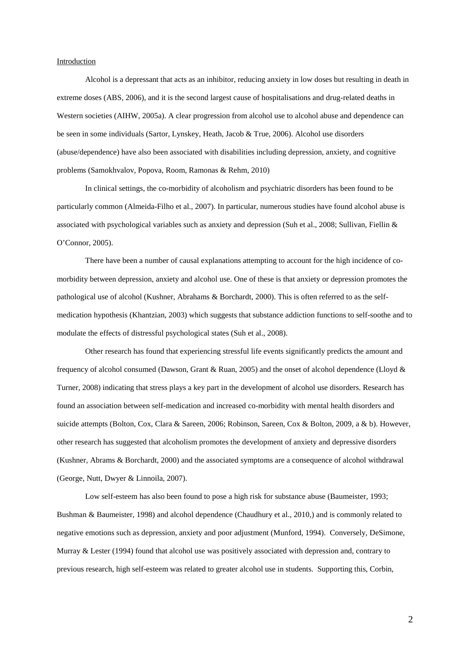#### **Introduction**

Alcohol is a depressant that acts as an inhibitor, reducing anxiety in low doses but resulting in death in extreme doses (ABS, 2006), and it is the second largest cause of hospitalisations and drug-related deaths in Western societies (AIHW, 2005a). A clear progression from alcohol use to alcohol abuse and dependence can be seen in some individuals (Sartor, Lynskey, Heath, Jacob & True, 2006). Alcohol use disorders (abuse/dependence) have also been associated with disabilities including depression, anxiety, and cognitive problems (Samokhvalov, Popova, Room, Ramonas & Rehm, 2010)

In clinical settings, the co-morbidity of alcoholism and psychiatric disorders has been found to be particularly common (Almeida-Filho et al., 2007). In particular, numerous studies have found alcohol abuse is associated with psychological variables such as anxiety and depression (Suh et al., 2008; Sullivan, Fiellin & O'Connor, 2005).

There have been a number of causal explanations attempting to account for the high incidence of comorbidity between depression, anxiety and alcohol use. One of these is that anxiety or depression promotes the pathological use of alcohol (Kushner, Abrahams & Borchardt, 2000). This is often referred to as the selfmedication hypothesis (Khantzian, 2003) which suggests that substance addiction functions to self-soothe and to modulate the effects of distressful psychological states (Suh et al., 2008).

Other research has found that experiencing stressful life events significantly predicts the amount and frequency of alcohol consumed (Dawson, Grant & Ruan, 2005) and the onset of alcohol dependence (Lloyd & Turner, 2008) indicating that stress plays a key part in the development of alcohol use disorders. Research has found an association between self-medication and increased co-morbidity with mental health disorders and suicide attempts (Bolton, Cox, Clara & Sareen, 2006; Robinson, Sareen, Cox & Bolton, 2009, a & b). However, other research has suggested that alcoholism promotes the development of anxiety and depressive disorders (Kushner, Abrams & Borchardt, 2000) and the associated symptoms are a consequence of alcohol withdrawal (George, Nutt, Dwyer & Linnoila, 2007).

Low self-esteem has also been found to pose a high risk for substance abuse (Baumeister, 1993; Bushman & Baumeister, 1998) and alcohol dependence (Chaudhury et al., 2010,) and is commonly related to negative emotions such as depression, anxiety and poor adjustment (Munford, 1994). Conversely, DeSimone, Murray & Lester (1994) found that alcohol use was positively associated with depression and, contrary to previous research, high self-esteem was related to greater alcohol use in students. Supporting this, Corbin,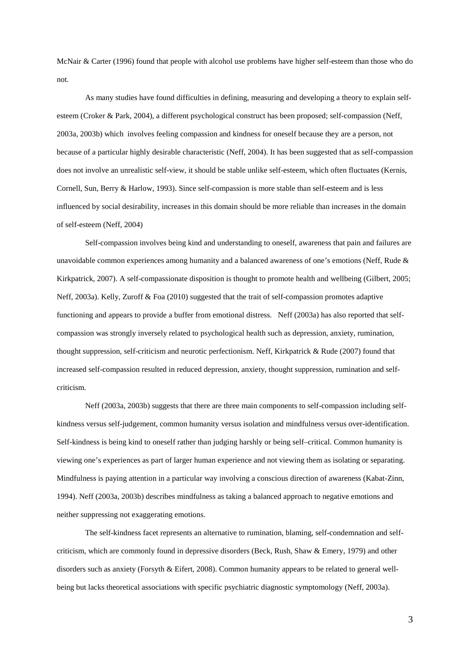McNair & Carter (1996) found that people with alcohol use problems have higher self-esteem than those who do not.

As many studies have found difficulties in defining, measuring and developing a theory to explain selfesteem (Croker & Park, 2004), a different psychological construct has been proposed; self-compassion (Neff, 2003a, 2003b) which involves feeling compassion and kindness for oneself because they are a person, not because of a particular highly desirable characteristic (Neff, 2004). It has been suggested that as self-compassion does not involve an unrealistic self-view, it should be stable unlike self-esteem, which often fluctuates (Kernis, Cornell, Sun, Berry & Harlow, 1993). Since self-compassion is more stable than self-esteem and is less influenced by social desirability, increases in this domain should be more reliable than increases in the domain of self-esteem (Neff, 2004)

Self-compassion involves being kind and understanding to oneself, awareness that pain and failures are unavoidable common experiences among humanity and a balanced awareness of one's emotions (Neff, Rude & Kirkpatrick, 2007). A self-compassionate disposition is thought to promote health and wellbeing (Gilbert, 2005; Neff, 2003a). Kelly, Zuroff & Foa (2010) suggested that the trait of self-compassion promotes adaptive functioning and appears to provide a buffer from emotional distress. Neff (2003a) has also reported that selfcompassion was strongly inversely related to psychological health such as depression, anxiety, rumination, thought suppression, self-criticism and neurotic perfectionism. Neff, Kirkpatrick & Rude (2007) found that increased self-compassion resulted in reduced depression, anxiety, thought suppression, rumination and selfcriticism.

Neff (2003a, 2003b) suggests that there are three main components to self-compassion including selfkindness versus self-judgement, common humanity versus isolation and mindfulness versus over-identification. Self-kindness is being kind to oneself rather than judging harshly or being self–critical. Common humanity is viewing one's experiences as part of larger human experience and not viewing them as isolating or separating. Mindfulness is paying attention in a particular way involving a conscious direction of awareness (Kabat-Zinn, 1994). Neff (2003a, 2003b) describes mindfulness as taking a balanced approach to negative emotions and neither suppressing not exaggerating emotions.

The self-kindness facet represents an alternative to rumination, blaming, self-condemnation and selfcriticism, which are commonly found in depressive disorders (Beck, Rush, Shaw & Emery, 1979) and other disorders such as anxiety (Forsyth & Eifert, 2008). Common humanity appears to be related to general wellbeing but lacks theoretical associations with specific psychiatric diagnostic symptomology (Neff, 2003a).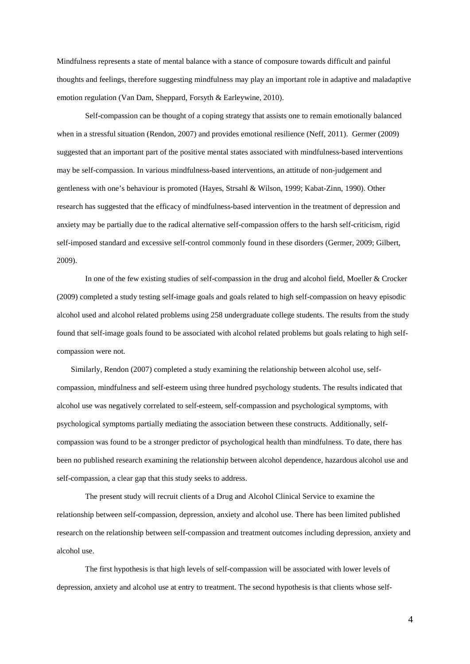Mindfulness represents a state of mental balance with a stance of composure towards difficult and painful thoughts and feelings, therefore suggesting mindfulness may play an important role in adaptive and maladaptive emotion regulation (Van Dam, Sheppard, Forsyth & Earleywine, 2010).

Self-compassion can be thought of a coping strategy that assists one to remain emotionally balanced when in a stressful situation (Rendon, 2007) and provides emotional resilience (Neff, 2011). Germer (2009) suggested that an important part of the positive mental states associated with mindfulness-based interventions may be self-compassion. In various mindfulness-based interventions, an attitude of non-judgement and gentleness with one's behaviour is promoted (Hayes, Strsahl & Wilson, 1999; Kabat-Zinn, 1990). Other research has suggested that the efficacy of mindfulness-based intervention in the treatment of depression and anxiety may be partially due to the radical alternative self-compassion offers to the harsh self-criticism, rigid self-imposed standard and excessive self-control commonly found in these disorders (Germer, 2009; Gilbert, 2009).

In one of the few existing studies of self-compassion in the drug and alcohol field, Moeller & Crocker (2009) completed a study testing self-image goals and goals related to high self-compassion on heavy episodic alcohol used and alcohol related problems using 258 undergraduate college students. The results from the study found that self-image goals found to be associated with alcohol related problems but goals relating to high selfcompassion were not.

Similarly, Rendon (2007) completed a study examining the relationship between alcohol use, selfcompassion, mindfulness and self-esteem using three hundred psychology students. The results indicated that alcohol use was negatively correlated to self-esteem, self-compassion and psychological symptoms, with psychological symptoms partially mediating the association between these constructs. Additionally, selfcompassion was found to be a stronger predictor of psychological health than mindfulness. To date, there has been no published research examining the relationship between alcohol dependence, hazardous alcohol use and self-compassion, a clear gap that this study seeks to address.

The present study will recruit clients of a Drug and Alcohol Clinical Service to examine the relationship between self-compassion, depression, anxiety and alcohol use. There has been limited published research on the relationship between self-compassion and treatment outcomes including depression, anxiety and alcohol use.

The first hypothesis is that high levels of self-compassion will be associated with lower levels of depression, anxiety and alcohol use at entry to treatment. The second hypothesis is that clients whose self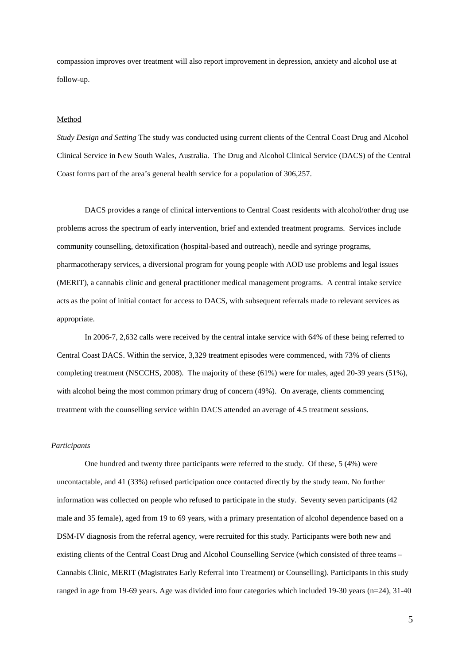compassion improves over treatment will also report improvement in depression, anxiety and alcohol use at follow-up.

#### Method

*Study Design and Setting* The study was conducted using current clients of the Central Coast Drug and Alcohol Clinical Service in New South Wales, Australia. The Drug and Alcohol Clinical Service (DACS) of the Central Coast forms part of the area's general health service for a population of 306,257.

DACS provides a range of clinical interventions to Central Coast residents with alcohol/other drug use problems across the spectrum of early intervention, brief and extended treatment programs. Services include community counselling, detoxification (hospital-based and outreach), needle and syringe programs, pharmacotherapy services, a diversional program for young people with AOD use problems and legal issues (MERIT), a cannabis clinic and general practitioner medical management programs. A central intake service acts as the point of initial contact for access to DACS, with subsequent referrals made to relevant services as appropriate.

In 2006-7, 2,632 calls were received by the central intake service with 64% of these being referred to Central Coast DACS. Within the service, 3,329 treatment episodes were commenced, with 73% of clients completing treatment (NSCCHS, 2008). The majority of these (61%) were for males, aged 20-39 years (51%), with alcohol being the most common primary drug of concern (49%). On average, clients commencing treatment with the counselling service within DACS attended an average of 4.5 treatment sessions.

#### *Participants*

One hundred and twenty three participants were referred to the study. Of these, 5 (4%) were uncontactable, and 41 (33%) refused participation once contacted directly by the study team. No further information was collected on people who refused to participate in the study. Seventy seven participants (42 male and 35 female), aged from 19 to 69 years, with a primary presentation of alcohol dependence based on a DSM-IV diagnosis from the referral agency, were recruited for this study. Participants were both new and existing clients of the Central Coast Drug and Alcohol Counselling Service (which consisted of three teams – Cannabis Clinic, MERIT (Magistrates Early Referral into Treatment) or Counselling). Participants in this study ranged in age from 19-69 years. Age was divided into four categories which included 19-30 years (n=24), 31-40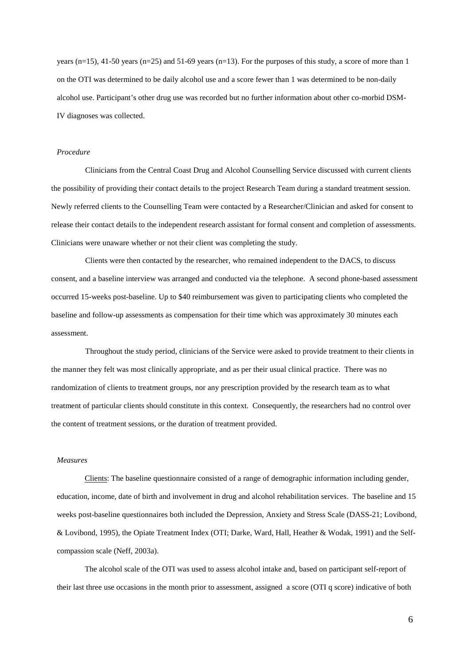years (n=15), 41-50 years (n=25) and 51-69 years (n=13). For the purposes of this study, a score of more than 1 on the OTI was determined to be daily alcohol use and a score fewer than 1 was determined to be non-daily alcohol use. Participant's other drug use was recorded but no further information about other co-morbid DSM-IV diagnoses was collected.

#### *Procedure*

Clinicians from the Central Coast Drug and Alcohol Counselling Service discussed with current clients the possibility of providing their contact details to the project Research Team during a standard treatment session. Newly referred clients to the Counselling Team were contacted by a Researcher/Clinician and asked for consent to release their contact details to the independent research assistant for formal consent and completion of assessments. Clinicians were unaware whether or not their client was completing the study.

Clients were then contacted by the researcher, who remained independent to the DACS, to discuss consent, and a baseline interview was arranged and conducted via the telephone. A second phone-based assessment occurred 15-weeks post-baseline. Up to \$40 reimbursement was given to participating clients who completed the baseline and follow-up assessments as compensation for their time which was approximately 30 minutes each assessment.

Throughout the study period, clinicians of the Service were asked to provide treatment to their clients in the manner they felt was most clinically appropriate, and as per their usual clinical practice. There was no randomization of clients to treatment groups, nor any prescription provided by the research team as to what treatment of particular clients should constitute in this context. Consequently, the researchers had no control over the content of treatment sessions, or the duration of treatment provided.

### *Measures*

Clients: The baseline questionnaire consisted of a range of demographic information including gender, education, income, date of birth and involvement in drug and alcohol rehabilitation services. The baseline and 15 weeks post-baseline questionnaires both included the Depression, Anxiety and Stress Scale (DASS-21; Lovibond, & Lovibond, 1995), the Opiate Treatment Index (OTI; Darke, Ward, Hall, Heather & Wodak, 1991) and the Selfcompassion scale (Neff, 2003a).

The alcohol scale of the OTI was used to assess alcohol intake and, based on participant self-report of their last three use occasions in the month prior to assessment, assigned a score (OTI q score) indicative of both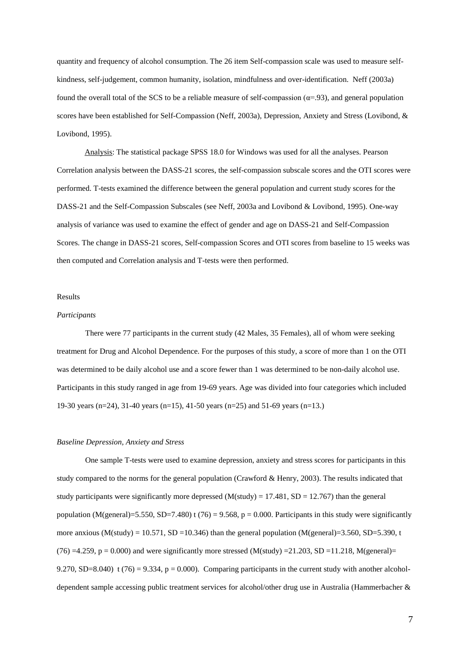quantity and frequency of alcohol consumption. The 26 item Self-compassion scale was used to measure selfkindness, self-judgement, common humanity, isolation, mindfulness and over-identification. Neff (2003a) found the overall total of the SCS to be a reliable measure of self-compassion ( $\alpha = 93$ ), and general population scores have been established for Self-Compassion (Neff, 2003a), Depression, Anxiety and Stress (Lovibond, & Lovibond, 1995).

Analysis: The statistical package SPSS 18.0 for Windows was used for all the analyses. Pearson Correlation analysis between the DASS-21 scores, the self-compassion subscale scores and the OTI scores were performed. T-tests examined the difference between the general population and current study scores for the DASS-21 and the Self-Compassion Subscales (see Neff, 2003a and Lovibond & Lovibond, 1995). One-way analysis of variance was used to examine the effect of gender and age on DASS-21 and Self-Compassion Scores. The change in DASS-21 scores, Self-compassion Scores and OTI scores from baseline to 15 weeks was then computed and Correlation analysis and T-tests were then performed.

#### Results

#### *Participants*

There were 77 participants in the current study (42 Males, 35 Females), all of whom were seeking treatment for Drug and Alcohol Dependence. For the purposes of this study, a score of more than 1 on the OTI was determined to be daily alcohol use and a score fewer than 1 was determined to be non-daily alcohol use. Participants in this study ranged in age from 19-69 years. Age was divided into four categories which included 19-30 years (n=24), 31-40 years (n=15), 41-50 years (n=25) and 51-69 years (n=13.)

#### *Baseline Depression, Anxiety and Stress*

One sample T-tests were used to examine depression, anxiety and stress scores for participants in this study compared to the norms for the general population (Crawford & Henry, 2003). The results indicated that study participants were significantly more depressed ( $M$ (study) = 17.481, SD = 12.767) than the general population (M(general)=5.550, SD=7.480) t (76) = 9.568, p = 0.000. Participants in this study were significantly more anxious (M(study) = 10.571, SD = 10.346) than the general population (M(general)=3.560, SD=5.390, t  $(76) = 4.259$ ,  $p = 0.000$  and were significantly more stressed (M(study) = 21.203, SD = 11.218, M(general)= 9.270, SD=8.040) t (76) = 9.334,  $p = 0.000$ ). Comparing participants in the current study with another alcoholdependent sample accessing public treatment services for alcohol/other drug use in Australia (Hammerbacher &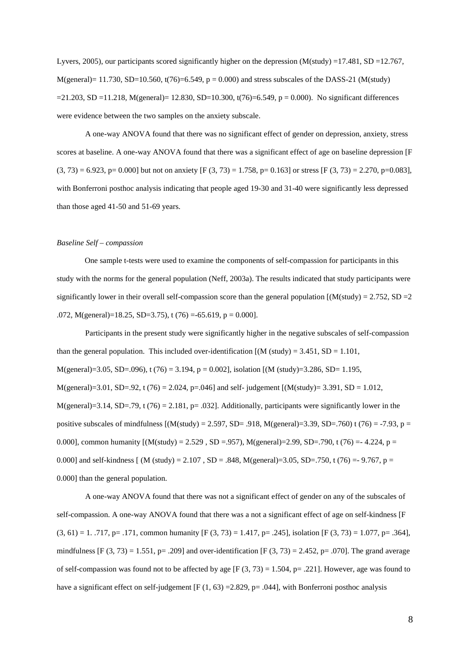Lyvers, 2005), our participants scored significantly higher on the depression (M(study) =17.481, SD =12.767,  $M(\text{general}) = 11.730, SD=10.560, t(76)=6.549, p = 0.000)$  and stress subscales of the DASS-21 (M(study)  $=$ 21.203, SD =11.218, M(general)= 12.830, SD=10.300, t(76)=6.549, p = 0.000). No significant differences were evidence between the two samples on the anxiety subscale.

A one-way ANOVA found that there was no significant effect of gender on depression, anxiety, stress scores at baseline. A one-way ANOVA found that there was a significant effect of age on baseline depression [F  $(3, 73) = 6.923$ , p= 0.000] but not on anxiety [F (3, 73) = 1.758, p= 0.163] or stress [F (3, 73) = 2.270, p=0.083], with Bonferroni posthoc analysis indicating that people aged 19-30 and 31-40 were significantly less depressed than those aged 41-50 and 51-69 years.

#### *Baseline Self – compassion*

One sample t-tests were used to examine the components of self-compassion for participants in this study with the norms for the general population (Neff, 2003a). The results indicated that study participants were significantly lower in their overall self-compassion score than the general population  $[(M(study) = 2.752, SD = 2$ .072, M(general)=18.25, SD=3.75), t (76) = -65.619, p = 0.000].

Participants in the present study were significantly higher in the negative subscales of self-compassion than the general population. This included over-identification  $[(M (study) = 3.451, SD = 1.101,$ M(general)=3.05, SD=.096), t (76) = 3.194, p = 0.002], isolation  $[(M (study)=3.286, SD=1.195,$  $M(\text{general})=3.01$ ,  $SD=.92$ , t (76) = 2.024, p=.046] and self- judgement  $(M(\text{study})=3.391, SD=1.012,$ M(general)=3.14, SD=.79, t (76) = 2.181, p= .032]. Additionally, participants were significantly lower in the positive subscales of mindfulness  $[(M(study) = 2.597, SD = .918, M(general) = 3.39, SD = .760)$  t  $(76) = -7.93, p =$ 0.000], common humanity  $[(M(study) = 2.529, SD = .957), M(general) = 2.99, SD = .790, t (76) = -4.224, p =$ 0.000] and self-kindness  $[(M (study) = 2.107, SD = .848, M(general) = 3.05, SD = .750, t (76) = -9.767, p =$ 0.000] than the general population.

A one-way ANOVA found that there was not a significant effect of gender on any of the subscales of self-compassion. A one-way ANOVA found that there was a not a significant effect of age on self-kindness [F  $(3, 61) = 1$ . .717, p= .171, common humanity [F  $(3, 73) = 1.417$ , p= .245], isolation [F  $(3, 73) = 1.077$ , p= .364], mindfulness  $[F (3, 73) = 1.551$ , p= .209] and over-identification  $[F (3, 73) = 2.452$ , p= .070]. The grand average of self-compassion was found not to be affected by age  $[F(3, 73) = 1.504, p = .221]$ . However, age was found to have a significant effect on self-judgement [F  $(1, 63) = 2.829$ , p= .044], with Bonferroni posthoc analysis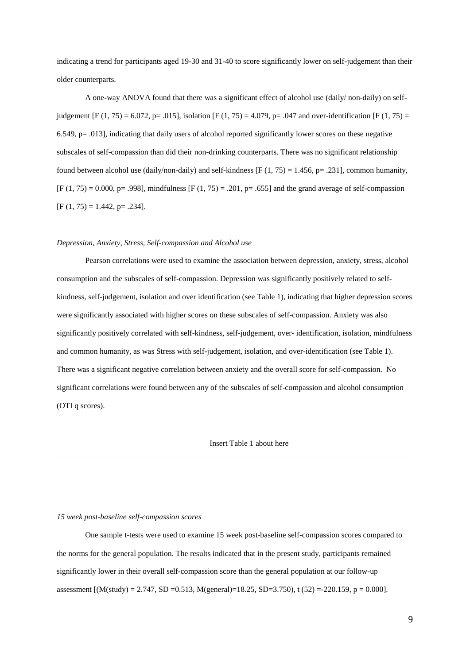indicating a trend for participants aged 19-30 and 31-40 to score significantly lower on self-judgement than their older counterparts.

A one-way ANOVA found that there was a significant effect of alcohol use (daily/ non-daily) on selfjudgement [F (1, 75) = 6.072, p= .015], isolation [F (1, 75) = 4.079, p= .047 and over-identification [F (1, 75) = 6.549, p= .013], indicating that daily users of alcohol reported significantly lower scores on these negative subscales of self-compassion than did their non-drinking counterparts. There was no significant relationship found between alcohol use (daily/non-daily) and self-kindness [F (1, 75) = 1.456, p= .231], common humanity,  $[F (1, 75) = 0.000, p = .998]$ , mindfulness  $[F (1, 75) = .201, p = .655]$  and the grand average of self-compassion  $[F (1, 75) = 1.442, p = .234].$ 

#### *Depression, Anxiety, Stress, Self-compassion and Alcohol use*

Pearson correlations were used to examine the association between depression, anxiety, stress, alcohol consumption and the subscales of self-compassion. Depression was significantly positively related to selfkindness, self-judgement, isolation and over identification (see Table 1), indicating that higher depression scores were significantly associated with higher scores on these subscales of self-compassion. Anxiety was also significantly positively correlated with self-kindness, self-judgement, over- identification, isolation, mindfulness and common humanity, as was Stress with self-judgement, isolation, and over-identification (see Table 1). There was a significant negative correlation between anxiety and the overall score for self-compassion. No significant correlations were found between any of the subscales of self-compassion and alcohol consumption (OTI q scores).

Insert Table 1 about here

#### *15 week post-baseline self-compassion scores*

One sample t-tests were used to examine 15 week post-baseline self-compassion scores compared to the norms for the general population. The results indicated that in the present study, participants remained significantly lower in their overall self-compassion score than the general population at our follow-up assessment  $[(M(study) = 2.747, SD = 0.513, M(general) = 18.25, SD = 3.750), t (52) = -220.159, p = 0.000].$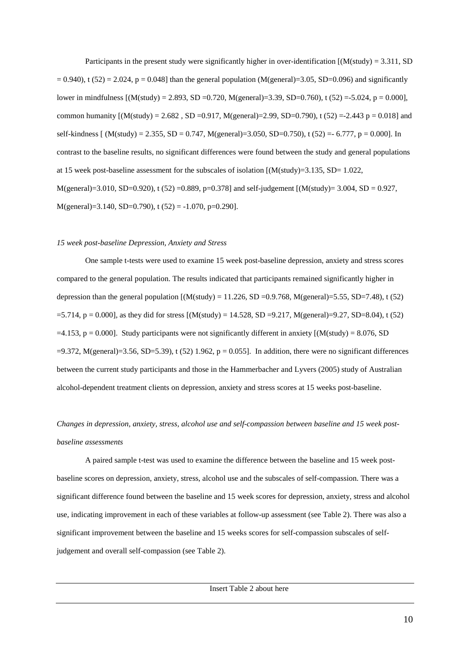Participants in the present study were significantly higher in over-identification  $[(M(study) = 3.311, SD]$  $= 0.940$ ), t (52) = 2.024, p = 0.048] than the general population (M(general)=3.05, SD=0.096) and significantly lower in mindfulness  $[(M(study) = 2.893, SD = 0.720, M(general)=3.39, SD = 0.760), t (52) = -5.024, p = 0.000],$ common humanity  $[(M(study) = 2.682, SD = 0.917, M(general) = 2.99, SD = 0.790), t (52) = -2.443 p = 0.018]$  and self-kindness  $[(M(study) = 2.355, SD = 0.747, M(general) = 3.050, SD = 0.750), t (52) = -6.777, p = 0.000].$  In contrast to the baseline results, no significant differences were found between the study and general populations at 15 week post-baseline assessment for the subscales of isolation [(M(study)=3.135, SD= 1.022,  $M(\text{general})=3.010, SD=0.920$ , t (52) = 0.889, p=0.378] and self-judgement  $(M(\text{study})=3.004, SD=0.927,$  $M(\text{general})=3.140, SD=0.790), t(52) = -1.070, p=0.290$ .

#### *15 week post-baseline Depression, Anxiety and Stress*

One sample t-tests were used to examine 15 week post-baseline depression, anxiety and stress scores compared to the general population. The results indicated that participants remained significantly higher in depression than the general population  $[(M(study) = 11.226, SD = 0.9.768, M(general) = 5.55, SD = 7.48), t (52)$  $=5.714$ , p = 0.000], as they did for stress  $[(M(study) = 14.528, SD = 9.217, M(general) = 9.27, SD = 8.04), t (52)$  $=4.153$ , p = 0.000]. Study participants were not significantly different in anxiety  $(M(study) = 8.076$ , SD  $=9.372$ , M(general)=3.56, SD=5.39), t (52) 1.962, p = 0.055]. In addition, there were no significant differences between the current study participants and those in the Hammerbacher and Lyvers (2005) study of Australian alcohol-dependent treatment clients on depression, anxiety and stress scores at 15 weeks post-baseline.

### *Changes in depression, anxiety, stress, alcohol use and self-compassion between baseline and 15 week postbaseline assessments*

A paired sample t-test was used to examine the difference between the baseline and 15 week postbaseline scores on depression, anxiety, stress, alcohol use and the subscales of self-compassion. There was a significant difference found between the baseline and 15 week scores for depression, anxiety, stress and alcohol use, indicating improvement in each of these variables at follow-up assessment (see Table 2). There was also a significant improvement between the baseline and 15 weeks scores for self-compassion subscales of selfjudgement and overall self-compassion (see Table 2).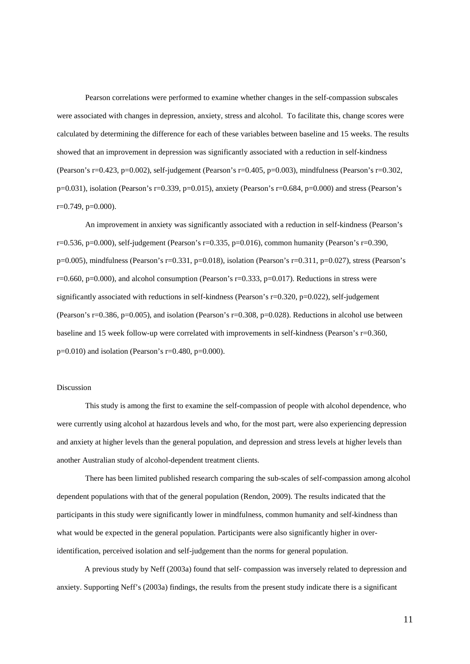Pearson correlations were performed to examine whether changes in the self-compassion subscales were associated with changes in depression, anxiety, stress and alcohol. To facilitate this, change scores were calculated by determining the difference for each of these variables between baseline and 15 weeks. The results showed that an improvement in depression was significantly associated with a reduction in self-kindness (Pearson's r=0.423, p=0.002), self-judgement (Pearson's r=0.405, p=0.003), mindfulness (Pearson's r=0.302,  $p=0.031$ ), isolation (Pearson's  $r=0.339$ ,  $p=0.015$ ), anxiety (Pearson's  $r=0.684$ ,  $p=0.000$ ) and stress (Pearson's  $r=0.749$ ,  $p=0.000$ ).

An improvement in anxiety was significantly associated with a reduction in self-kindness (Pearson's r=0.536, p=0.000), self-judgement (Pearson's r=0.335, p=0.016), common humanity (Pearson's r=0.390, p=0.005), mindfulness (Pearson's r=0.331, p=0.018), isolation (Pearson's r=0.311, p=0.027), stress (Pearson's  $r=0.660$ ,  $p=0.000$ ), and alcohol consumption (Pearson's  $r=0.333$ ,  $p=0.017$ ). Reductions in stress were significantly associated with reductions in self-kindness (Pearson's r=0.320, p=0.022), self-judgement (Pearson's r=0.386, p=0.005), and isolation (Pearson's r=0.308, p=0.028). Reductions in alcohol use between baseline and 15 week follow-up were correlated with improvements in self-kindness (Pearson's r=0.360,  $p=0.010$ ) and isolation (Pearson's r=0.480, p=0.000).

### Discussion

This study is among the first to examine the self-compassion of people with alcohol dependence, who were currently using alcohol at hazardous levels and who, for the most part, were also experiencing depression and anxiety at higher levels than the general population, and depression and stress levels at higher levels than another Australian study of alcohol-dependent treatment clients.

There has been limited published research comparing the sub-scales of self-compassion among alcohol dependent populations with that of the general population (Rendon, 2009). The results indicated that the participants in this study were significantly lower in mindfulness, common humanity and self-kindness than what would be expected in the general population. Participants were also significantly higher in overidentification, perceived isolation and self-judgement than the norms for general population.

A previous study by Neff (2003a) found that self- compassion was inversely related to depression and anxiety. Supporting Neff's (2003a) findings, the results from the present study indicate there is a significant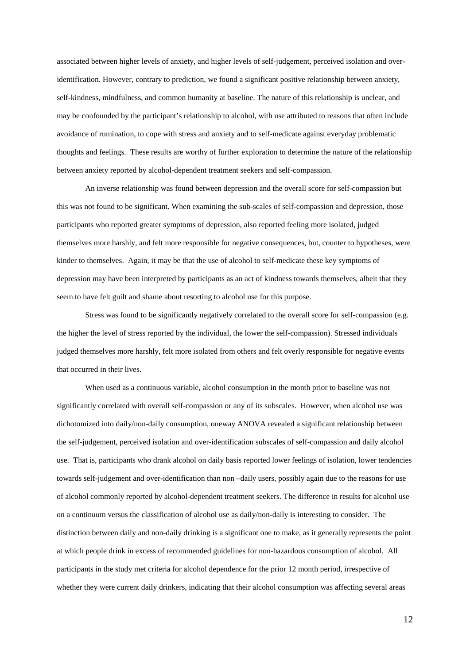associated between higher levels of anxiety, and higher levels of self-judgement, perceived isolation and overidentification. However, contrary to prediction, we found a significant positive relationship between anxiety, self-kindness, mindfulness, and common humanity at baseline. The nature of this relationship is unclear, and may be confounded by the participant's relationship to alcohol, with use attributed to reasons that often include avoidance of rumination, to cope with stress and anxiety and to self-medicate against everyday problematic thoughts and feelings. These results are worthy of further exploration to determine the nature of the relationship between anxiety reported by alcohol-dependent treatment seekers and self-compassion.

An inverse relationship was found between depression and the overall score for self-compassion but this was not found to be significant. When examining the sub-scales of self-compassion and depression, those participants who reported greater symptoms of depression, also reported feeling more isolated, judged themselves more harshly, and felt more responsible for negative consequences, but, counter to hypotheses, were kinder to themselves. Again, it may be that the use of alcohol to self-medicate these key symptoms of depression may have been interpreted by participants as an act of kindness towards themselves, albeit that they seem to have felt guilt and shame about resorting to alcohol use for this purpose.

Stress was found to be significantly negatively correlated to the overall score for self-compassion (e.g. the higher the level of stress reported by the individual, the lower the self-compassion). Stressed individuals judged themselves more harshly, felt more isolated from others and felt overly responsible for negative events that occurred in their lives.

When used as a continuous variable, alcohol consumption in the month prior to baseline was not significantly correlated with overall self-compassion or any of its subscales. However, when alcohol use was dichotomized into daily/non-daily consumption, oneway ANOVA revealed a significant relationship between the self-judgement, perceived isolation and over-identification subscales of self-compassion and daily alcohol use. That is, participants who drank alcohol on daily basis reported lower feelings of isolation, lower tendencies towards self-judgement and over-identification than non –daily users, possibly again due to the reasons for use of alcohol commonly reported by alcohol-dependent treatment seekers. The difference in results for alcohol use on a continuum versus the classification of alcohol use as daily/non-daily is interesting to consider. The distinction between daily and non-daily drinking is a significant one to make, as it generally represents the point at which people drink in excess of recommended guidelines for non-hazardous consumption of alcohol. All participants in the study met criteria for alcohol dependence for the prior 12 month period, irrespective of whether they were current daily drinkers, indicating that their alcohol consumption was affecting several areas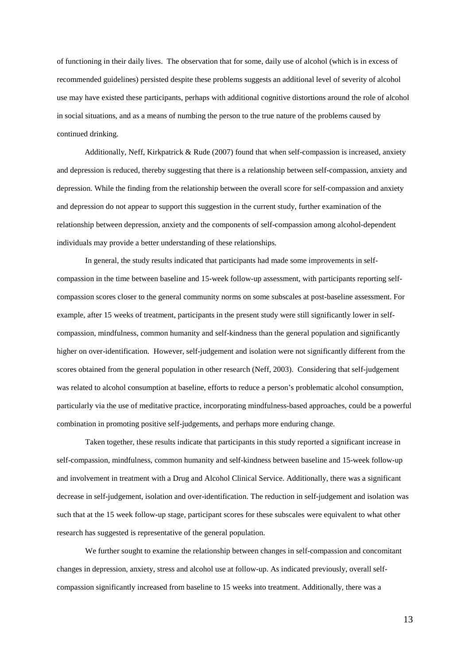of functioning in their daily lives. The observation that for some, daily use of alcohol (which is in excess of recommended guidelines) persisted despite these problems suggests an additional level of severity of alcohol use may have existed these participants, perhaps with additional cognitive distortions around the role of alcohol in social situations, and as a means of numbing the person to the true nature of the problems caused by continued drinking.

Additionally, Neff, Kirkpatrick & Rude (2007) found that when self-compassion is increased, anxiety and depression is reduced, thereby suggesting that there is a relationship between self-compassion, anxiety and depression. While the finding from the relationship between the overall score for self-compassion and anxiety and depression do not appear to support this suggestion in the current study, further examination of the relationship between depression, anxiety and the components of self-compassion among alcohol-dependent individuals may provide a better understanding of these relationships.

In general, the study results indicated that participants had made some improvements in selfcompassion in the time between baseline and 15-week follow-up assessment, with participants reporting selfcompassion scores closer to the general community norms on some subscales at post-baseline assessment. For example, after 15 weeks of treatment, participants in the present study were still significantly lower in selfcompassion, mindfulness, common humanity and self-kindness than the general population and significantly higher on over-identification. However, self-judgement and isolation were not significantly different from the scores obtained from the general population in other research (Neff, 2003). Considering that self-judgement was related to alcohol consumption at baseline, efforts to reduce a person's problematic alcohol consumption, particularly via the use of meditative practice, incorporating mindfulness-based approaches, could be a powerful combination in promoting positive self-judgements, and perhaps more enduring change.

Taken together, these results indicate that participants in this study reported a significant increase in self-compassion, mindfulness, common humanity and self-kindness between baseline and 15-week follow-up and involvement in treatment with a Drug and Alcohol Clinical Service. Additionally, there was a significant decrease in self-judgement, isolation and over-identification. The reduction in self-judgement and isolation was such that at the 15 week follow-up stage, participant scores for these subscales were equivalent to what other research has suggested is representative of the general population.

We further sought to examine the relationship between changes in self-compassion and concomitant changes in depression, anxiety, stress and alcohol use at follow-up. As indicated previously, overall selfcompassion significantly increased from baseline to 15 weeks into treatment. Additionally, there was a

13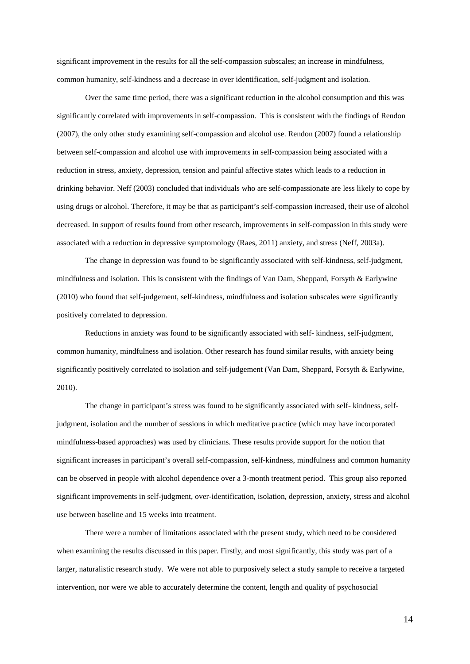significant improvement in the results for all the self-compassion subscales; an increase in mindfulness, common humanity, self-kindness and a decrease in over identification, self-judgment and isolation.

Over the same time period, there was a significant reduction in the alcohol consumption and this was significantly correlated with improvements in self-compassion. This is consistent with the findings of Rendon (2007), the only other study examining self-compassion and alcohol use. Rendon (2007) found a relationship between self-compassion and alcohol use with improvements in self-compassion being associated with a reduction in stress, anxiety, depression, tension and painful affective states which leads to a reduction in drinking behavior. Neff (2003) concluded that individuals who are self-compassionate are less likely to cope by using drugs or alcohol. Therefore, it may be that as participant's self-compassion increased, their use of alcohol decreased. In support of results found from other research, improvements in self-compassion in this study were associated with a reduction in depressive symptomology (Raes, 2011) anxiety, and stress (Neff, 2003a).

The change in depression was found to be significantly associated with self-kindness, self-judgment, mindfulness and isolation. This is consistent with the findings of Van Dam, Sheppard, Forsyth & Earlywine (2010) who found that self-judgement, self-kindness, mindfulness and isolation subscales were significantly positively correlated to depression.

Reductions in anxiety was found to be significantly associated with self- kindness, self-judgment, common humanity, mindfulness and isolation. Other research has found similar results, with anxiety being significantly positively correlated to isolation and self-judgement (Van Dam, Sheppard, Forsyth & Earlywine, 2010).

The change in participant's stress was found to be significantly associated with self- kindness, selfjudgment, isolation and the number of sessions in which meditative practice (which may have incorporated mindfulness-based approaches) was used by clinicians. These results provide support for the notion that significant increases in participant's overall self-compassion, self-kindness, mindfulness and common humanity can be observed in people with alcohol dependence over a 3-month treatment period. This group also reported significant improvements in self-judgment, over-identification, isolation, depression, anxiety, stress and alcohol use between baseline and 15 weeks into treatment.

There were a number of limitations associated with the present study, which need to be considered when examining the results discussed in this paper. Firstly, and most significantly, this study was part of a larger, naturalistic research study. We were not able to purposively select a study sample to receive a targeted intervention, nor were we able to accurately determine the content, length and quality of psychosocial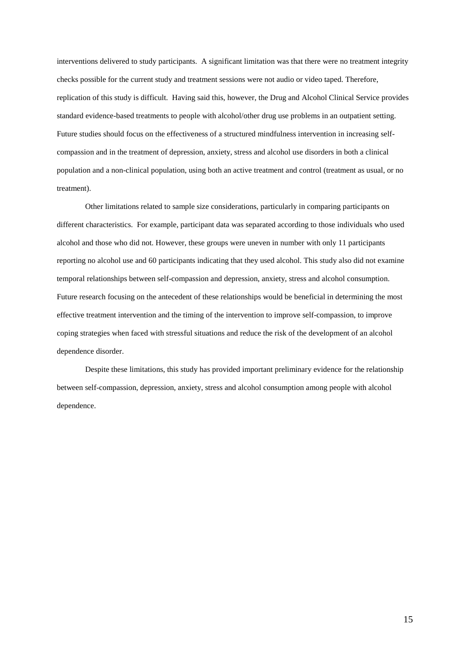interventions delivered to study participants. A significant limitation was that there were no treatment integrity checks possible for the current study and treatment sessions were not audio or video taped. Therefore, replication of this study is difficult. Having said this, however, the Drug and Alcohol Clinical Service provides standard evidence-based treatments to people with alcohol/other drug use problems in an outpatient setting. Future studies should focus on the effectiveness of a structured mindfulness intervention in increasing selfcompassion and in the treatment of depression, anxiety, stress and alcohol use disorders in both a clinical population and a non-clinical population, using both an active treatment and control (treatment as usual, or no treatment).

Other limitations related to sample size considerations, particularly in comparing participants on different characteristics. For example, participant data was separated according to those individuals who used alcohol and those who did not. However, these groups were uneven in number with only 11 participants reporting no alcohol use and 60 participants indicating that they used alcohol. This study also did not examine temporal relationships between self-compassion and depression, anxiety, stress and alcohol consumption. Future research focusing on the antecedent of these relationships would be beneficial in determining the most effective treatment intervention and the timing of the intervention to improve self-compassion, to improve coping strategies when faced with stressful situations and reduce the risk of the development of an alcohol dependence disorder.

Despite these limitations, this study has provided important preliminary evidence for the relationship between self-compassion, depression, anxiety, stress and alcohol consumption among people with alcohol dependence.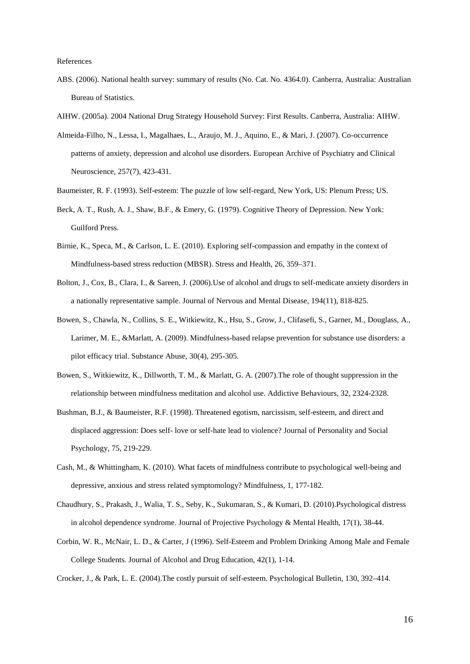- ABS. (2006). National health survey: summary of results (No. Cat. No. 4364.0). Canberra, Australia: Australian Bureau of Statistics.
- AIHW. (2005a). 2004 National Drug Strategy Household Survey: First Results. Canberra, Australia: AIHW.
- Almeida-Filho, N., Lessa, I., Magalhaes, L., Araujo, M. J., Aquino, E., & Mari, J. (2007). Co-occurrence patterns of anxiety, depression and alcohol use disorders. European Archive of Psychiatry and Clinical Neuroscience, 257(7), 423-431.
- Baumeister, R. F. (1993). Self-esteem: The puzzle of low self-regard, New York, US: Plenum Press; US.
- Beck, A. T., Rush, A. J., Shaw, B.F., & Emery, G. (1979). Cognitive Theory of Depression. New York: Guilford Press.
- Birnie, K., Speca, M., & Carlson, L. E. (2010). Exploring self-compassion and empathy in the context of Mindfulness-based stress reduction (MBSR). Stress and Health, 26, 359–371.
- Bolton, J., Cox, B., Clara, I., & Sareen, J. (2006).Use of alcohol and drugs to self-medicate anxiety disorders in a nationally representative sample. Journal of Nervous and Mental Disease, 194(11), 818-825.
- Bowen, S., Chawla, N., Collins, S. E., Witkiewitz, K., Hsu, S., Grow, J., Clifasefi, S., Garner, M., Douglass, A., Larimer, M. E., &Marlatt, A. (2009). Mindfulness-based relapse prevention for substance use disorders: a pilot efficacy trial. Substance Abuse, 30(4), 295-305.
- Bowen, S., Witkiewitz, K., Dillworth, T. M., & Marlatt, G. A. (2007).The role of thought suppression in the relationship between mindfulness meditation and alcohol use. Addictive Behaviours, 32, 2324-2328.
- Bushman, B.J., & Baumeister, R.F. (1998). Threatened egotism, narcissism, self-esteem, and direct and displaced aggression: Does self- love or self-hate lead to violence? Journal of Personality and Social Psychology, 75, 219-229.
- Cash, M., & Whittingham, K. (2010). What facets of mindfulness contribute to psychological well-being and depressive, anxious and stress related symptomology? Mindfulness, 1, 177-182.
- Chaudhury, S., Prakash, J., Walia, T. S., Seby, K., Sukumaran, S., & Kumari, D. (2010).Psychological distress in alcohol dependence syndrome. Journal of Projective Psychology & Mental Health, 17(1), 38-44.
- Corbin, W. R., McNair, L. D., & Carter, J (1996). Self-Esteem and Problem Drinking Among Male and Female College Students. Journal of Alcohol and Drug Education, 42(1), 1-14.
- Crocker, J., & Park, L. E. (2004).The costly pursuit of self-esteem. Psychological Bulletin, 130, 392–414.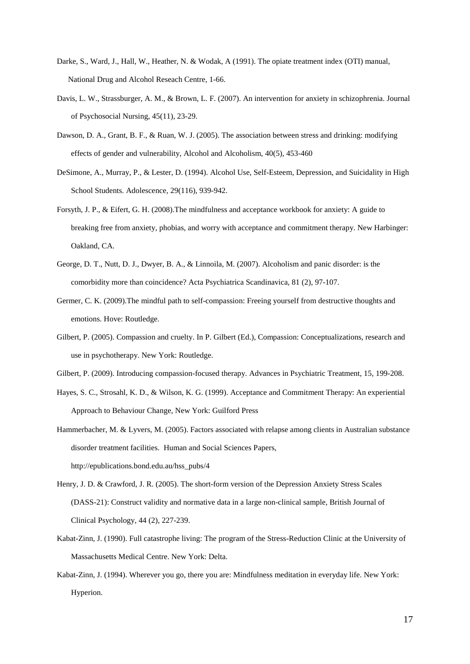- Darke, S., Ward, J., Hall, W., Heather, N. & Wodak, A (1991). The opiate treatment index (OTI) manual, National Drug and Alcohol Reseach Centre, 1-66.
- Davis, L. W., Strassburger, A. M., & Brown, L. F. (2007). An intervention for anxiety in schizophrenia. Journal of Psychosocial Nursing, 45(11), 23-29.
- Dawson, D. A., Grant, B. F., & Ruan, W. J. (2005). The association between stress and drinking: modifying effects of gender and vulnerability, Alcohol and Alcoholism, 40(5), 453-460
- DeSimone, A., Murray, P., & Lester, D. (1994). Alcohol Use, Self-Esteem, Depression, and Suicidality in High School Students. Adolescence, 29(116), 939-942.
- Forsyth, J. P., & Eifert, G. H. (2008).The mindfulness and acceptance workbook for anxiety: A guide to breaking free from anxiety, phobias, and worry with acceptance and commitment therapy. New Harbinger: Oakland, CA.
- George, D. T., Nutt, D. J., Dwyer, B. A., & Linnoila, M. (2007). Alcoholism and panic disorder: is the comorbidity more than coincidence? Acta Psychiatrica Scandinavica, 81 (2), 97-107.
- Germer, C. K. (2009).The mindful path to self-compassion: Freeing yourself from destructive thoughts and emotions. Hove: Routledge.
- Gilbert, P. (2005). Compassion and cruelty. In P. Gilbert (Ed.), Compassion: Conceptualizations, research and use in psychotherapy. New York: Routledge.
- Gilbert, P. (2009). Introducing compassion-focused therapy. Advances in Psychiatric Treatment, 15, 199-208.
- Hayes, S. C., Strosahl, K. D., & Wilson, K. G. (1999). Acceptance and Commitment Therapy: An experiential Approach to Behaviour Change, New York: Guilford Press
- Hammerbacher, M. & Lyvers, M. (2005). Factors associated with relapse among clients in Australian substance disorder treatment facilities. Human and Social Sciences Papers, http://epublications.bond.edu.au/hss\_pubs/4
- Henry, J. D. & Crawford, J. R. (2005). The short-form version of the Depression Anxiety Stress Scales (DASS-21): Construct validity and normative data in a large non-clinical sample, British Journal of Clinical Psychology, 44 (2), 227-239.
- Kabat-Zinn, J. (1990). Full catastrophe living: The program of the Stress-Reduction Clinic at the University of Massachusetts Medical Centre. New York: Delta.
- Kabat-Zinn, J. (1994). Wherever you go, there you are: Mindfulness meditation in everyday life. New York: Hyperion.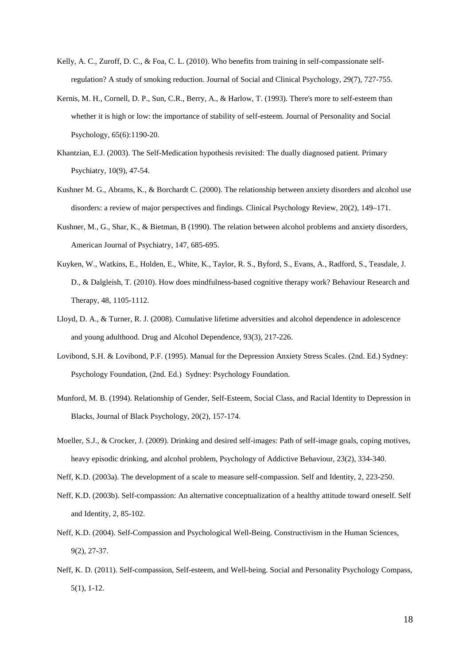- Kelly, A. C., Zuroff, D. C., & Foa, C. L. (2010). Who benefits from training in self-compassionate selfregulation? A study of smoking reduction. Journal of Social and Clinical Psychology, 29(7), 727-755.
- Kernis, M. H., Cornell, D. P., Sun, C.R., Berry, A., & Harlow, T. (1993). There's more to self-esteem than whether it is high or low: the importance of stability of self-esteem. Journal of Personality and Social Psychology, 65(6):1190-20.
- Khantzian, E.J. (2003). The Self-Medication hypothesis revisited: The dually diagnosed patient. Primary Psychiatry, 10(9), 47-54.
- Kushner M. G., Abrams, K., & Borchardt C. (2000). The relationship between anxiety disorders and alcohol use disorders: a review of major perspectives and findings. Clinical Psychology Review, 20(2), 149–171.
- Kushner, M., G., Shar, K., & Bietman, B (1990). The relation between alcohol problems and anxiety disorders, American Journal of Psychiatry, 147, 685-695.
- Kuyken, W., Watkins, E., Holden, E., White, K., Taylor, R. S., Byford, S., Evans, A., Radford, S., Teasdale, J. D., & Dalgleish, T. (2010). How does mindfulness-based cognitive therapy work? Behaviour Research and Therapy, 48, 1105-1112.
- Lloyd, D. A., & Turner, R. J. (2008). Cumulative lifetime adversities and alcohol dependence in adolescence and young adulthood. Drug and Alcohol Dependence, 93(3), 217-226.
- Lovibond, S.H. & Lovibond, P.F. (1995). Manual for the Depression Anxiety Stress Scales. (2nd. Ed.) Sydney: Psychology Foundation, (2nd. Ed.) Sydney: Psychology Foundation.
- Munford, M. B. (1994). Relationship of Gender, Self-Esteem, Social Class, and Racial Identity to Depression in Blacks, Journal of Black Psychology, 20(2), 157-174.
- Moeller, S.J., & Crocker, J. (2009). Drinking and desired self-images: Path of self-image goals, coping motives, heavy episodic drinking, and alcohol problem, Psychology of Addictive Behaviour, 23(2), 334-340.
- Neff, K.D. (2003a). The development of a scale to measure self-compassion. Self and Identity, 2, 223-250.
- Neff, K.D. (2003b). Self-compassion: An alternative conceptualization of a healthy attitude toward oneself. Self and Identity, 2, 85-102.
- Neff, K.D. (2004). Self-Compassion and Psychological Well-Being. Constructivism in the Human Sciences, 9(2), 27-37.
- Neff, K. D. (2011). Self-compassion, Self-esteem, and Well-being. Social and Personality Psychology Compass, 5(1), 1-12.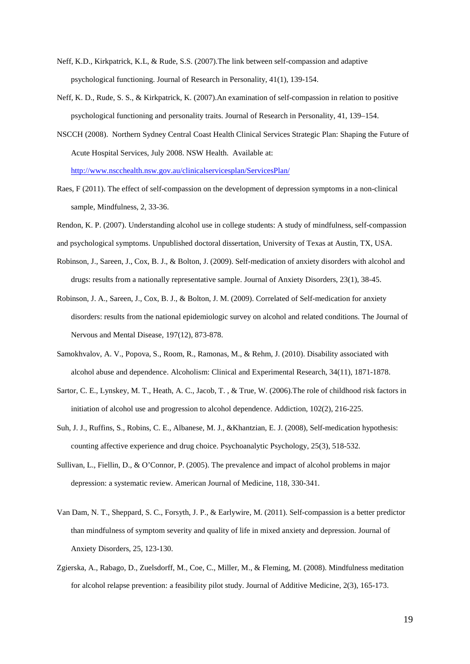- Neff, K.D., Kirkpatrick, K.L, & Rude, S.S. (2007).The link between self-compassion and adaptive psychological functioning. Journal of Research in Personality, 41(1), 139-154.
- Neff, K. D., Rude, S. S., & Kirkpatrick, K. (2007).An examination of self-compassion in relation to positive psychological functioning and personality traits. Journal of Research in Personality, 41, 139–154.
- NSCCH (2008). Northern Sydney Central Coast Health Clinical Services Strategic Plan: Shaping the Future of Acute Hospital Services, July 2008. NSW Health. Available at: <http://www.nscchealth.nsw.gov.au/clinicalservicesplan/ServicesPlan/>
- Raes, F (2011). The effect of self-compassion on the development of depression symptoms in a non-clinical sample, Mindfulness, 2, 33-36.
- Rendon, K. P. (2007). Understanding alcohol use in college students: A study of mindfulness, self-compassion
- and psychological symptoms. Unpublished doctoral dissertation, University of Texas at Austin, TX, USA.
- Robinson, J., Sareen, J., Cox, B. J., & Bolton, J. (2009). Self-medication of anxiety disorders with alcohol and drugs: results from a nationally representative sample. Journal of Anxiety Disorders, 23(1), 38-45.
- Robinson, J. A., Sareen, J., Cox, B. J., & Bolton, J. M. (2009). Correlated of Self-medication for anxiety disorders: results from the national epidemiologic survey on alcohol and related conditions. The Journal of Nervous and Mental Disease, 197(12), 873-878.
- Samokhvalov, A. V., Popova, S., Room, R., Ramonas, M., & Rehm, J. (2010). Disability associated with alcohol abuse and dependence. Alcoholism: Clinical and Experimental Research, 34(11), 1871-1878.
- Sartor, C. E., Lynskey, M. T., Heath, A. C., Jacob, T. , & True, W. (2006).The role of childhood risk factors in initiation of alcohol use and progression to alcohol dependence. Addiction, 102(2), 216-225.
- Suh, J. J., Ruffins, S., Robins, C. E., Albanese, M. J., &Khantzian, E. J. (2008), Self-medication hypothesis: counting affective experience and drug choice. Psychoanalytic Psychology, 25(3), 518-532.
- Sullivan, L., Fiellin, D., & O'Connor, P. (2005). The prevalence and impact of alcohol problems in major depression: a systematic review. American Journal of Medicine, 118, 330-341.
- Van Dam, N. T., Sheppard, S. C., Forsyth, J. P., & Earlywire, M. (2011). Self-compassion is a better predictor than mindfulness of symptom severity and quality of life in mixed anxiety and depression. Journal of Anxiety Disorders, 25, 123-130.
- Zgierska, A., Rabago, D., Zuelsdorff, M., Coe, C., Miller, M., & Fleming, M. (2008). Mindfulness meditation for alcohol relapse prevention: a feasibility pilot study. Journal of Additive Medicine, 2(3), 165-173.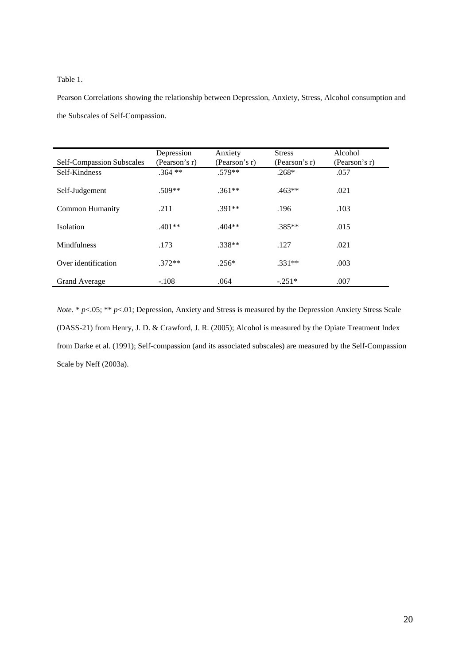### Table 1.

Pearson Correlations showing the relationship between Depression, Anxiety, Stress, Alcohol consumption and the Subscales of Self-Compassion.

| Self-Compassion Subscales | Depression<br>(Pearson's r) | Anxiety<br>(Pearson's r) | <b>Stress</b><br>(Pearson's r) | Alcohol<br>(Pearson's r) |
|---------------------------|-----------------------------|--------------------------|--------------------------------|--------------------------|
| Self-Kindness             | $.364**$                    | $.579**$                 | $.268*$                        | .057                     |
| Self-Judgement            | $.509**$                    | $.361**$                 | $.463**$                       | .021                     |
| Common Humanity           | .211                        | $.391**$                 | .196                           | .103                     |
| <b>Isolation</b>          | $.401**$                    | $.404**$                 | $.385**$                       | .015                     |
| <b>Mindfulness</b>        | .173                        | $.338**$                 | .127                           | .021                     |
| Over identification       | $.372**$                    | $.256*$                  | $.331**$                       | .003                     |
| <b>Grand Average</b>      | $-.108$                     | .064                     | $-.251*$                       | .007                     |

*Note.* \* *p*<.05; \*\* *p*<.01; Depression, Anxiety and Stress is measured by the Depression Anxiety Stress Scale (DASS-21) from Henry, J. D. & Crawford, J. R. (2005); Alcohol is measured by the Opiate Treatment Index from Darke et al. (1991); Self-compassion (and its associated subscales) are measured by the Self-Compassion Scale by Neff (2003a).